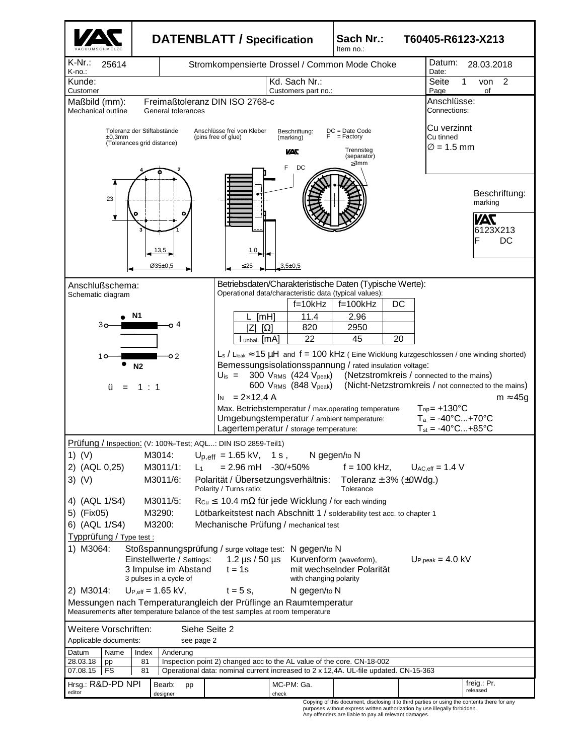

purposes without express written authorization by use illegally forbidden. Any offenders are liable to pay all relevant damages.